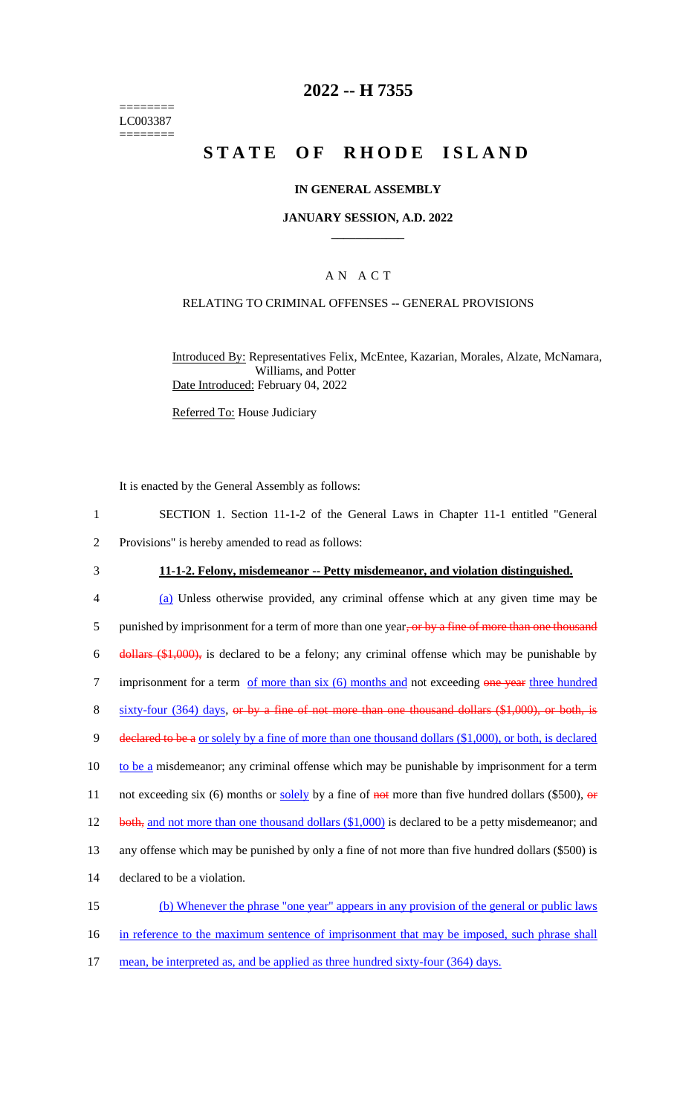======== LC003387 ========

# **2022 -- H 7355**

# **STATE OF RHODE ISLAND**

## **IN GENERAL ASSEMBLY**

### **JANUARY SESSION, A.D. 2022 \_\_\_\_\_\_\_\_\_\_\_\_**

# A N A C T

## RELATING TO CRIMINAL OFFENSES -- GENERAL PROVISIONS

Introduced By: Representatives Felix, McEntee, Kazarian, Morales, Alzate, McNamara, Williams, and Potter Date Introduced: February 04, 2022

Referred To: House Judiciary

It is enacted by the General Assembly as follows:

- 1 SECTION 1. Section 11-1-2 of the General Laws in Chapter 11-1 entitled "General
- 2 Provisions" is hereby amended to read as follows:
- 

### 3 **11-1-2. Felony, misdemeanor -- Petty misdemeanor, and violation distinguished.**

4 (a) Unless otherwise provided, any criminal offense which at any given time may be 5 punished by imprisonment for a term of more than one year, or by a fine of more than one thousand 6 dollars (\$1,000), is declared to be a felony; any criminal offense which may be punishable by 7 imprisonment for a term of more than six (6) months and not exceeding one year three hundred 8 sixty-four (364) days, or by a fine of not more than one thousand dollars (\$1,000), or both, is 9 declared to be a or solely by a fine of more than one thousand dollars (\$1,000), or both, is declared 10 to be a misdemeanor; any criminal offense which may be punishable by imprisonment for a term 11 not exceeding six (6) months or solely by a fine of  $\frac{1}{n}$  more than five hundred dollars (\$500),  $\frac{1}{n}$ 12 both, and not more than one thousand dollars (\$1,000) is declared to be a petty misdemeanor; and 13 any offense which may be punished by only a fine of not more than five hundred dollars (\$500) is 14 declared to be a violation. 15 (b) Whenever the phrase "one year" appears in any provision of the general or public laws 16 in reference to the maximum sentence of imprisonment that may be imposed, such phrase shall

17 mean, be interpreted as, and be applied as three hundred sixty-four (364) days.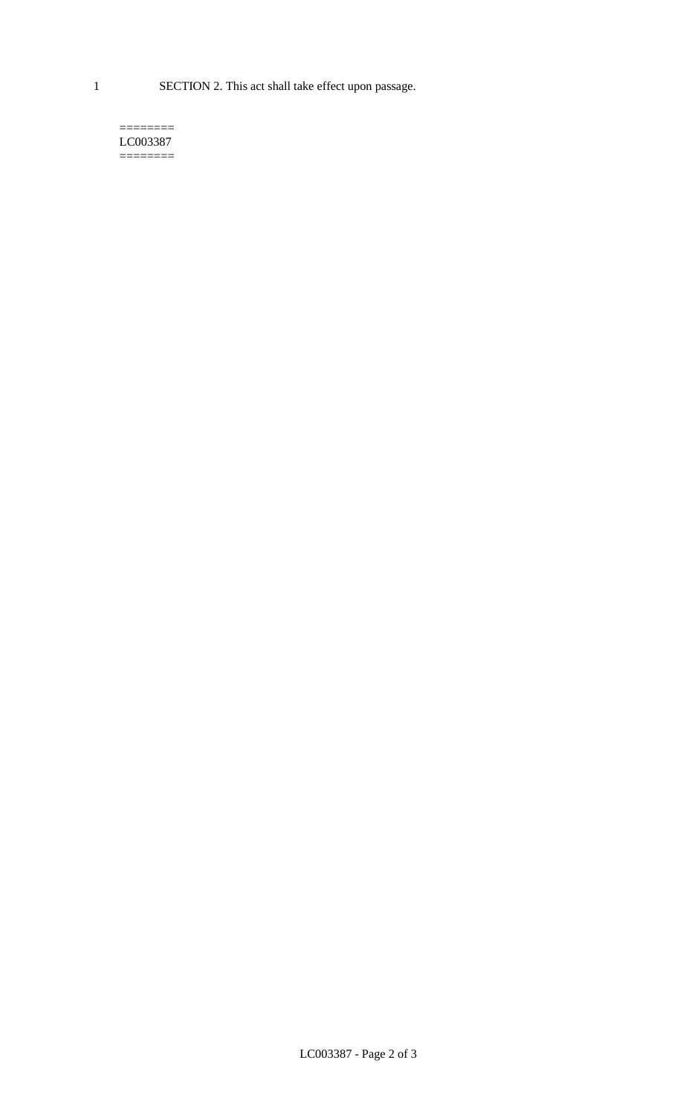1 SECTION 2. This act shall take effect upon passage.

#### $=$ LC003387 ========